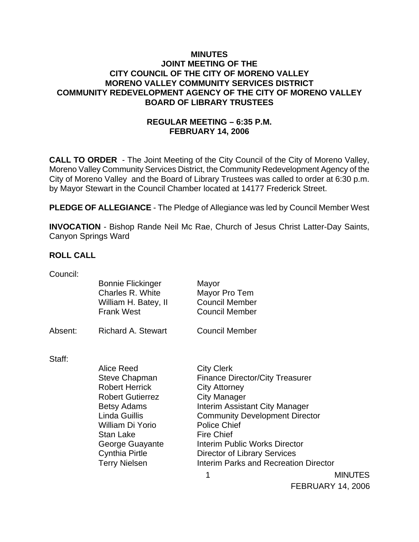## **MINUTES JOINT MEETING OF THE CITY COUNCIL OF THE CITY OF MORENO VALLEY MORENO VALLEY COMMUNITY SERVICES DISTRICT COMMUNITY REDEVELOPMENT AGENCY OF THE CITY OF MORENO VALLEY BOARD OF LIBRARY TRUSTEES**

## **REGULAR MEETING – 6:35 P.M. FEBRUARY 14, 2006**

**CALL TO ORDER** - The Joint Meeting of the City Council of the City of Moreno Valley, Moreno Valley Community Services District, the Community Redevelopment Agency of the City of Moreno Valley and the Board of Library Trustees was called to order at 6:30 p.m. by Mayor Stewart in the Council Chamber located at 14177 Frederick Street.

 **PLEDGE OF ALLEGIANCE** - The Pledge of Allegiance was led by Council Member West

 **INVOCATION** - Bishop Rande Neil Mc Rae, Church of Jesus Christ Latter-Day Saints, Canyon Springs Ward

#### **ROLL CALL**

| Council: | <b>Bonnie Flickinger</b><br>Charles R. White<br>William H. Batey, II<br><b>Frank West</b> | Mayor<br>Mayor Pro Tem<br><b>Council Member</b><br><b>Council Member</b>            |
|----------|-------------------------------------------------------------------------------------------|-------------------------------------------------------------------------------------|
| Absent:  | <b>Richard A. Stewart</b>                                                                 | <b>Council Member</b>                                                               |
| Staff:   | Alice Reed<br><b>Steve Chapman</b><br><b>Robert Herrick</b>                               | <b>City Clerk</b><br><b>Finance Director/City Treasurer</b><br><b>City Attorney</b> |

| <b>Finance Director/City Treasurer</b><br><b>Steve Chapman</b>       |                |
|----------------------------------------------------------------------|----------------|
| <b>Robert Herrick</b><br><b>City Attorney</b>                        |                |
| <b>City Manager</b><br><b>Robert Gutierrez</b>                       |                |
| Interim Assistant City Manager<br><b>Betsy Adams</b>                 |                |
| <b>Linda Guillis</b><br><b>Community Development Director</b>        |                |
| William Di Yorio<br><b>Police Chief</b>                              |                |
| <b>Fire Chief</b><br><b>Stan Lake</b>                                |                |
| George Guayante<br><b>Interim Public Works Director</b>              |                |
| <b>Cynthia Pirtle</b><br><b>Director of Library Services</b>         |                |
| <b>Interim Parks and Recreation Director</b><br><b>Terry Nielsen</b> |                |
|                                                                      | <b>MINUTES</b> |

FEBRUARY 14, 2006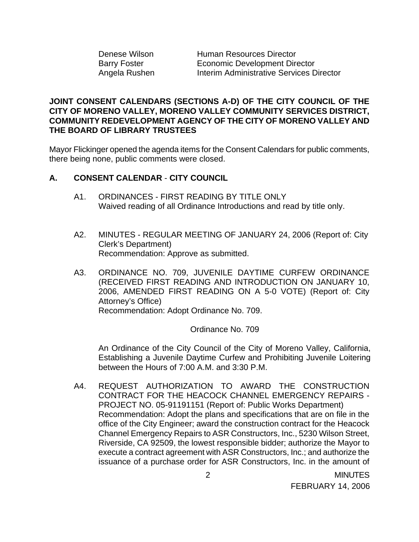| Denese Wilson       |  |
|---------------------|--|
| <b>Barry Foster</b> |  |
| Angela Rushen       |  |

Human Resources Director **Economic Development Director Interim Administrative Services Director** 

## **JOINT CONSENT CALENDARS (SECTIONS A-D) OF THE CITY COUNCIL OF THE CITY OF MORENO VALLEY, MORENO VALLEY COMMUNITY SERVICES DISTRICT, COMMUNITY REDEVELOPMENT AGENCY OF THE CITY OF MORENO VALLEY AND THE BOARD OF LIBRARY TRUSTEES**

Mayor Flickinger opened the agenda items for the Consent Calendars for public comments, there being none, public comments were closed.

## **A. CONSENT CALENDAR** - **CITY COUNCIL**

- A1. ORDINANCES FIRST READING BY TITLE ONLY Waived reading of all Ordinance Introductions and read by title only.
- A2. MINUTES REGULAR MEETING OF JANUARY 24, 2006 (Report of: City Clerk's Department) Recommendation: Approve as submitted.
- A3. ORDINANCE NO. 709, JUVENILE DAYTIME CURFEW ORDINANCE (RECEIVED FIRST READING AND INTRODUCTION ON JANUARY 10, 2006, AMENDED FIRST READING ON A 5-0 VOTE) (Report of: City Attorney's Office)

Recommendation: Adopt Ordinance No. 709.

Ordinance No. 709

 An Ordinance of the City Council of the City of Moreno Valley, California, Establishing a Juvenile Daytime Curfew and Prohibiting Juvenile Loitering between the Hours of 7:00 A.M. and 3:30 P.M.

A4. REQUEST AUTHORIZATION TO AWARD THE CONSTRUCTION CONTRACT FOR THE HEACOCK CHANNEL EMERGENCY REPAIRS - PROJECT NO. 05-91191151 (Report of: Public Works Department) Recommendation: Adopt the plans and specifications that are on file in the office of the City Engineer; award the construction contract for the Heacock Channel Emergency Repairs to ASR Constructors, Inc., 5230 Wilson Street, Riverside, CA 92509, the lowest responsible bidder; authorize the Mayor to execute a contract agreement with ASR Constructors, Inc.; and authorize the issuance of a purchase order for ASR Constructors, Inc. in the amount of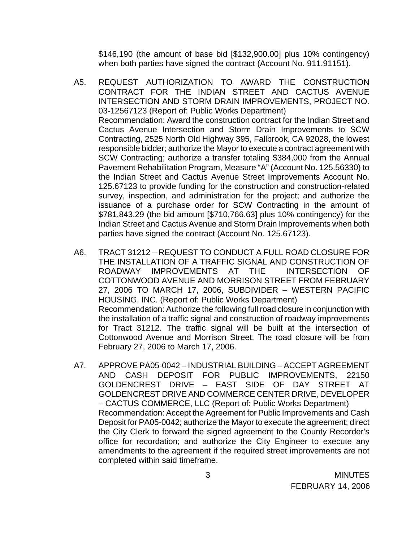\$146,190 (the amount of base bid [\$132,900.00] plus 10% contingency) when both parties have signed the contract (Account No. 911.91151).

- A5. REQUEST AUTHORIZATION TO AWARD THE CONSTRUCTION CONTRACT FOR THE INDIAN STREET AND CACTUS AVENUE INTERSECTION AND STORM DRAIN IMPROVEMENTS, PROJECT NO. 03-12567123 (Report of: Public Works Department) Recommendation: Award the construction contract for the Indian Street and Cactus Avenue Intersection and Storm Drain Improvements to SCW Contracting, 2525 North Old Highway 395, Fallbrook, CA 92028, the lowest responsible bidder; authorize the Mayor to execute a contract agreement with SCW Contracting; authorize a transfer totaling \$384,000 from the Annual Pavement Rehabilitation Program, Measure "A" (Account No. 125.56330) to the Indian Street and Cactus Avenue Street Improvements Account No. 125.67123 to provide funding for the construction and construction-related survey, inspection, and administration for the project; and authorize the issuance of a purchase order for SCW Contracting in the amount of \$781,843.29 (the bid amount [\$710,766.63] plus 10% contingency) for the Indian Street and Cactus Avenue and Storm Drain Improvements when both parties have signed the contract (Account No. 125.67123).
- A6. TRACT 31212 REQUEST TO CONDUCT A FULL ROAD CLOSURE FOR THE INSTALLATION OF A TRAFFIC SIGNAL AND CONSTRUCTION OF ROADWAY IMPROVEMENTS AT THE INTERSECTION OF COTTONWOOD AVENUE AND MORRISON STREET FROM FEBRUARY 27, 2006 TO MARCH 17, 2006, SUBDIVIDER – WESTERN PACIFIC HOUSING, INC. (Report of: Public Works Department) Recommendation: Authorize the following full road closure in conjunction with the installation of a traffic signal and construction of roadway improvements for Tract 31212. The traffic signal will be built at the intersection of Cottonwood Avenue and Morrison Street. The road closure will be from February 27, 2006 to March 17, 2006.
- A7. APPROVE PA05-0042 INDUSTRIAL BUILDING ACCEPT AGREEMENT AND CASH DEPOSIT FOR PUBLIC IMPROVEMENTS, 22150 GOLDENCREST DRIVE – EAST SIDE OF DAY STREET AT GOLDENCREST DRIVE AND COMMERCE CENTER DRIVE, DEVELOPER – CACTUS COMMERCE, LLC (Report of: Public Works Department) Recommendation: Accept the Agreement for Public Improvements and Cash Deposit for PA05-0042; authorize the Mayor to execute the agreement; direct the City Clerk to forward the signed agreement to the County Recorder's office for recordation; and authorize the City Engineer to execute any amendments to the agreement if the required street improvements are not completed within said timeframe.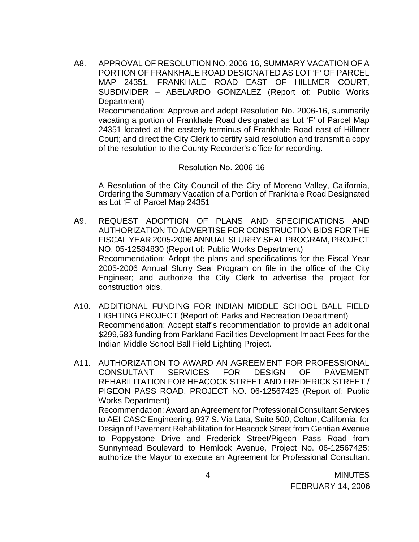A8. APPROVAL OF RESOLUTION NO. 2006-16, SUMMARY VACATION OF A PORTION OF FRANKHALE ROAD DESIGNATED AS LOT 'F' OF PARCEL MAP 24351, FRANKHALE ROAD EAST OF HILLMER COURT, SUBDIVIDER – ABELARDO GONZALEZ (Report of: Public Works Department)

 Recommendation: Approve and adopt Resolution No. 2006-16, summarily vacating a portion of Frankhale Road designated as Lot 'F' of Parcel Map 24351 located at the easterly terminus of Frankhale Road east of Hillmer Court; and direct the City Clerk to certify said resolution and transmit a copy of the resolution to the County Recorder's office for recording.

#### Resolution No. 2006-16

A Resolution of the City Council of the City of Moreno Valley, California, Ordering the Summary Vacation of a Portion of Frankhale Road Designated as Lot 'F' of Parcel Map 24351

- A9. REQUEST ADOPTION OF PLANS AND SPECIFICATIONS AND AUTHORIZATION TO ADVERTISE FOR CONSTRUCTION BIDS FOR THE FISCAL YEAR 2005-2006 ANNUAL SLURRY SEAL PROGRAM, PROJECT NO. 05-12584830 (Report of: Public Works Department) Recommendation: Adopt the plans and specifications for the Fiscal Year 2005-2006 Annual Slurry Seal Program on file in the office of the City Engineer; and authorize the City Clerk to advertise the project for construction bids.
- A10. ADDITIONAL FUNDING FOR INDIAN MIDDLE SCHOOL BALL FIELD LIGHTING PROJECT (Report of: Parks and Recreation Department) Recommendation: Accept staff's recommendation to provide an additional \$299,583 funding from Parkland Facilities Development Impact Fees for the Indian Middle School Ball Field Lighting Project.
- A11. AUTHORIZATION TO AWARD AN AGREEMENT FOR PROFESSIONAL CONSULTANT SERVICES FOR DESIGN OF PAVEMENT REHABILITATION FOR HEACOCK STREET AND FREDERICK STREET / PIGEON PASS ROAD, PROJECT NO. 06-12567425 (Report of: Public Works Department) Recommendation: Award an Agreement for Professional Consultant Services to AEI-CASC Engineering, 937 S. Via Lata, Suite 500, Colton, California, for Design of Pavement Rehabilitation for Heacock Street from Gentian Avenue to Poppystone Drive and Frederick Street/Pigeon Pass Road from Sunnymead Boulevard to Hemlock Avenue, Project No. 06-12567425; authorize the Mayor to execute an Agreement for Professional Consultant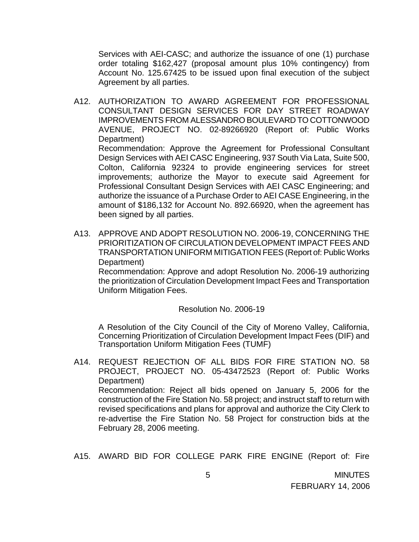Services with AEI-CASC; and authorize the issuance of one (1) purchase order totaling \$162,427 (proposal amount plus 10% contingency) from Account No. 125.67425 to be issued upon final execution of the subject Agreement by all parties.

A12. AUTHORIZATION TO AWARD AGREEMENT FOR PROFESSIONAL CONSULTANT DESIGN SERVICES FOR DAY STREET ROADWAY IMPROVEMENTS FROM ALESSANDRO BOULEVARD TO COTTONWOOD AVENUE, PROJECT NO. 02-89266920 (Report of: Public Works Department)

 Recommendation: Approve the Agreement for Professional Consultant Design Services with AEI CASC Engineering, 937 South Via Lata, Suite 500, Colton, California 92324 to provide engineering services for street improvements; authorize the Mayor to execute said Agreement for Professional Consultant Design Services with AEI CASC Engineering; and authorize the issuance of a Purchase Order to AEI CASE Engineering, in the amount of \$186,132 for Account No. 892.66920, when the agreement has been signed by all parties.

A13. APPROVE AND ADOPT RESOLUTION NO. 2006-19, CONCERNING THE PRIORITIZATION OF CIRCULATION DEVELOPMENT IMPACT FEES AND TRANSPORTATION UNIFORM MITIGATION FEES (Report of: Public Works Department)

 Recommendation: Approve and adopt Resolution No. 2006-19 authorizing the prioritization of Circulation Development Impact Fees and Transportation Uniform Mitigation Fees.

#### Resolution No. 2006-19

A Resolution of the City Council of the City of Moreno Valley, California, Concerning Prioritization of Circulation Development Impact Fees (DIF) and Transportation Uniform Mitigation Fees (TUMF)

A14. REQUEST REJECTION OF ALL BIDS FOR FIRE STATION NO. 58 PROJECT, PROJECT NO. 05-43472523 (Report of: Public Works Department) Recommendation: Reject all bids opened on January 5, 2006 for the construction of the Fire Station No. 58 project; and instruct staff to return with revised specifications and plans for approval and authorize the City Clerk to re-advertise the Fire Station No. 58 Project for construction bids at the February 28, 2006 meeting.

A15. AWARD BID FOR COLLEGE PARK FIRE ENGINE (Report of: Fire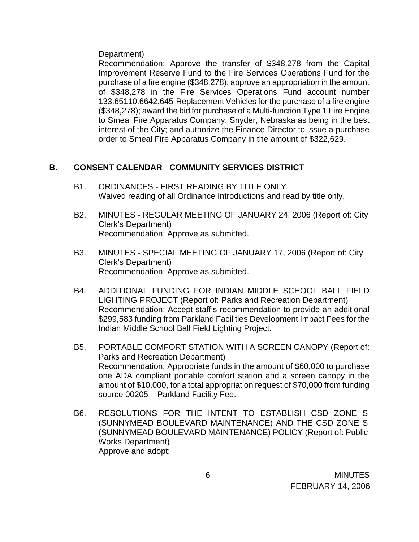Department)

 Recommendation: Approve the transfer of \$348,278 from the Capital Improvement Reserve Fund to the Fire Services Operations Fund for the purchase of a fire engine (\$348,278); approve an appropriation in the amount of \$348,278 in the Fire Services Operations Fund account number 133.65110.6642.645-Replacement Vehicles for the purchase of a fire engine (\$348,278); award the bid for purchase of a Multi-function Type 1 Fire Engine to Smeal Fire Apparatus Company, Snyder, Nebraska as being in the best interest of the City; and authorize the Finance Director to issue a purchase order to Smeal Fire Apparatus Company in the amount of \$322,629.

## **B. CONSENT CALENDAR** - **COMMUNITY SERVICES DISTRICT**

- B1. ORDINANCES FIRST READING BY TITLE ONLY Waived reading of all Ordinance Introductions and read by title only.
- B2. MINUTES REGULAR MEETING OF JANUARY 24, 2006 (Report of: City Clerk's Department) Recommendation: Approve as submitted.
- B3. MINUTES SPECIAL MEETING OF JANUARY 17, 2006 (Report of: City Clerk's Department) Recommendation: Approve as submitted.
- B4. ADDITIONAL FUNDING FOR INDIAN MIDDLE SCHOOL BALL FIELD LIGHTING PROJECT (Report of: Parks and Recreation Department) Recommendation: Accept staff's recommendation to provide an additional \$299,583 funding from Parkland Facilities Development Impact Fees for the Indian Middle School Ball Field Lighting Project.
- B5. PORTABLE COMFORT STATION WITH A SCREEN CANOPY (Report of: Parks and Recreation Department) Recommendation: Appropriate funds in the amount of \$60,000 to purchase one ADA compliant portable comfort station and a screen canopy in the amount of \$10,000, for a total appropriation request of \$70,000 from funding source 00205 – Parkland Facility Fee.
- B6. RESOLUTIONS FOR THE INTENT TO ESTABLISH CSD ZONE S (SUNNYMEAD BOULEVARD MAINTENANCE) AND THE CSD ZONE S (SUNNYMEAD BOULEVARD MAINTENANCE) POLICY (Report of: Public Works Department) Approve and adopt: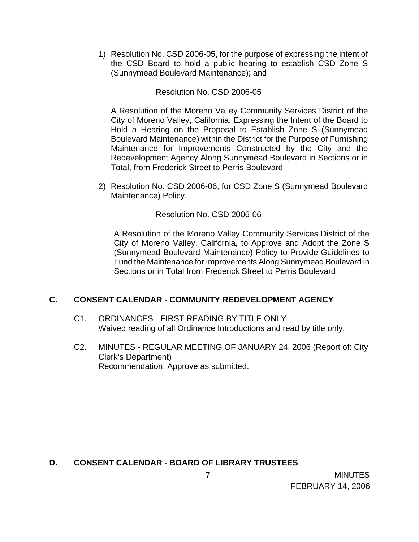1) Resolution No. CSD 2006-05, for the purpose of expressing the intent of the CSD Board to hold a public hearing to establish CSD Zone S (Sunnymead Boulevard Maintenance); and

## Resolution No. CSD 2006-05

 A Resolution of the Moreno Valley Community Services District of the City of Moreno Valley, California, Expressing the Intent of the Board to Hold a Hearing on the Proposal to Establish Zone S (Sunnymead Boulevard Maintenance) within the District for the Purpose of Furnishing Maintenance for Improvements Constructed by the City and the Redevelopment Agency Along Sunnymead Boulevard in Sections or in Total, from Frederick Street to Perris Boulevard

2) Resolution No. CSD 2006-06, for CSD Zone S (Sunnymead Boulevard Maintenance) Policy.

## Resolution No. CSD 2006-06

A Resolution of the Moreno Valley Community Services District of the City of Moreno Valley, California, to Approve and Adopt the Zone S (Sunnymead Boulevard Maintenance) Policy to Provide Guidelines to Fund the Maintenance for Improvements Along Sunnymead Boulevard in Sections or in Total from Frederick Street to Perris Boulevard

## **C. CONSENT CALENDAR** - **COMMUNITY REDEVELOPMENT AGENCY**

- C1. ORDINANCES FIRST READING BY TITLE ONLY Waived reading of all Ordinance Introductions and read by title only.
- C2. MINUTES REGULAR MEETING OF JANUARY 24, 2006 (Report of: City Clerk's Department) Recommendation: Approve as submitted.

# **D. CONSENT CALENDAR** - **BOARD OF LIBRARY TRUSTEES**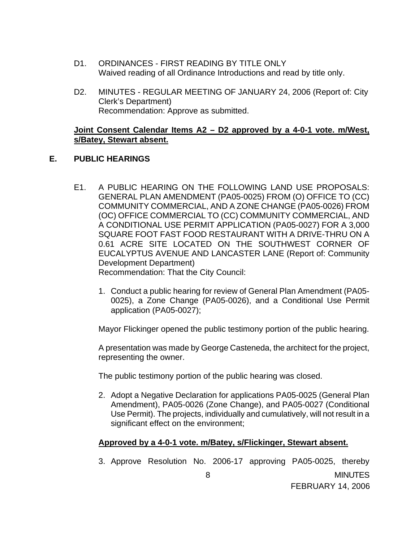- D1. ORDINANCES FIRST READING BY TITLE ONLY Waived reading of all Ordinance Introductions and read by title only.
- D2. MINUTES REGULAR MEETING OF JANUARY 24, 2006 (Report of: City Clerk's Department) Recommendation: Approve as submitted.

#### **Joint Consent Calendar Items A2 – D2 approved by a 4-0-1 vote. m/West, s/Batey, Stewart absent.**

#### **E. PUBLIC HEARINGS**

- E1. A PUBLIC HEARING ON THE FOLLOWING LAND USE PROPOSALS: GENERAL PLAN AMENDMENT (PA05-0025) FROM (O) OFFICE TO (CC) COMMUNITY COMMERCIAL, AND A ZONE CHANGE (PA05-0026) FROM (OC) OFFICE COMMERCIAL TO (CC) COMMUNITY COMMERCIAL, AND A CONDITIONAL USE PERMIT APPLICATION (PA05-0027) FOR A 3,000 SQUARE FOOT FAST FOOD RESTAURANT WITH A DRIVE-THRU ON A 0.61 ACRE SITE LOCATED ON THE SOUTHWEST CORNER OF EUCALYPTUS AVENUE AND LANCASTER LANE (Report of: Community Development Department) Recommendation: That the City Council:
	- 1. Conduct a public hearing for review of General Plan Amendment (PA05- 0025), a Zone Change (PA05-0026), and a Conditional Use Permit application (PA05-0027);

Mayor Flickinger opened the public testimony portion of the public hearing.

 A presentation was made by George Casteneda, the architect for the project, representing the owner.

The public testimony portion of the public hearing was closed.

2. Adopt a Negative Declaration for applications PA05-0025 (General Plan Amendment), PA05-0026 (Zone Change), and PA05-0027 (Conditional Use Permit). The projects, individually and cumulatively, will not result in a significant effect on the environment;

#### **Approved by a 4-0-1 vote. m/Batey, s/Flickinger, Stewart absent.**

3. Approve Resolution No. 2006-17 approving PA05-0025, thereby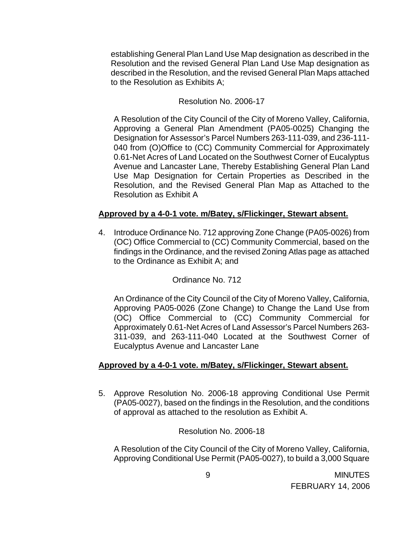establishing General Plan Land Use Map designation as described in the Resolution and the revised General Plan Land Use Map designation as described in the Resolution, and the revised General Plan Maps attached to the Resolution as Exhibits A;

## Resolution No. 2006-17

A Resolution of the City Council of the City of Moreno Valley, California, Approving a General Plan Amendment (PA05-0025) Changing the Designation for Assessor's Parcel Numbers 263-111-039, and 236-111- 040 from (O)Office to (CC) Community Commercial for Approximately 0.61-Net Acres of Land Located on the Southwest Corner of Eucalyptus Avenue and Lancaster Lane, Thereby Establishing General Plan Land Use Map Designation for Certain Properties as Described in the Resolution, and the Revised General Plan Map as Attached to the Resolution as Exhibit A

## **Approved by a 4-0-1 vote. m/Batey, s/Flickinger, Stewart absent.**

 4. Introduce Ordinance No. 712 approving Zone Change (PA05-0026) from (OC) Office Commercial to (CC) Community Commercial, based on the findings in the Ordinance, and the revised Zoning Atlas page as attached to the Ordinance as Exhibit A; and

#### Ordinance No. 712

An Ordinance of the City Council of the City of Moreno Valley, California, Approving PA05-0026 (Zone Change) to Change the Land Use from (OC) Office Commercial to (CC) Community Commercial for Approximately 0.61-Net Acres of Land Assessor's Parcel Numbers 263- 311-039, and 263-111-040 Located at the Southwest Corner of Eucalyptus Avenue and Lancaster Lane

#### **Approved by a 4-0-1 vote. m/Batey, s/Flickinger, Stewart absent.**

5. Approve Resolution No. 2006-18 approving Conditional Use Permit (PA05-0027), based on the findings in the Resolution, and the conditions of approval as attached to the resolution as Exhibit A.

#### Resolution No. 2006-18

A Resolution of the City Council of the City of Moreno Valley, California, Approving Conditional Use Permit (PA05-0027), to build a 3,000 Square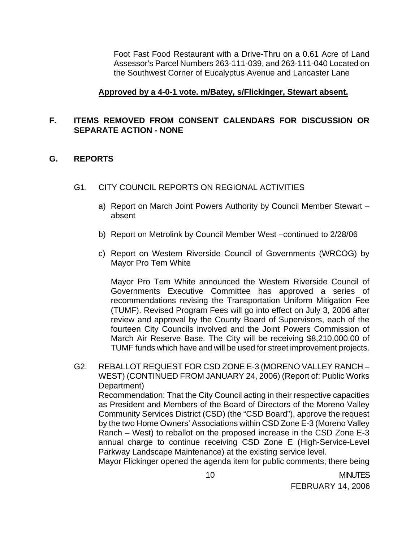Foot Fast Food Restaurant with a Drive-Thru on a 0.61 Acre of Land Assessor's Parcel Numbers 263-111-039, and 263-111-040 Located on the Southwest Corner of Eucalyptus Avenue and Lancaster Lane

## **Approved by a 4-0-1 vote. m/Batey, s/Flickinger, Stewart absent.**

## **F. ITEMS REMOVED FROM CONSENT CALENDARS FOR DISCUSSION OR SEPARATE ACTION - NONE**

#### **G. REPORTS**

#### G1. CITY COUNCIL REPORTS ON REGIONAL ACTIVITIES

- a) Report on March Joint Powers Authority by Council Member Stewart absent
- b) Report on Metrolink by Council Member West –continued to 2/28/06
- c) Report on Western Riverside Council of Governments (WRCOG) by Mayor Pro Tem White

 Mayor Pro Tem White announced the Western Riverside Council of Governments Executive Committee has approved a series of recommendations revising the Transportation Uniform Mitigation Fee (TUMF). Revised Program Fees will go into effect on July 3, 2006 after review and approval by the County Board of Supervisors, each of the fourteen City Councils involved and the Joint Powers Commission of March Air Reserve Base. The City will be receiving \$8,210,000.00 of TUMF funds which have and will be used for street improvement projects.

G2. REBALLOT REQUEST FOR CSD ZONE E-3 (MORENO VALLEY RANCH – WEST) (CONTINUED FROM JANUARY 24, 2006) (Report of: Public Works Department)

 Recommendation: That the City Council acting in their respective capacities as President and Members of the Board of Directors of the Moreno Valley Community Services District (CSD) (the "CSD Board"), approve the request by the two Home Owners' Associations within CSD Zone E-3 (Moreno Valley Ranch – West) to reballot on the proposed increase in the CSD Zone E-3 annual charge to continue receiving CSD Zone E (High-Service-Level Parkway Landscape Maintenance) at the existing service level.

Mayor Flickinger opened the agenda item for public comments; there being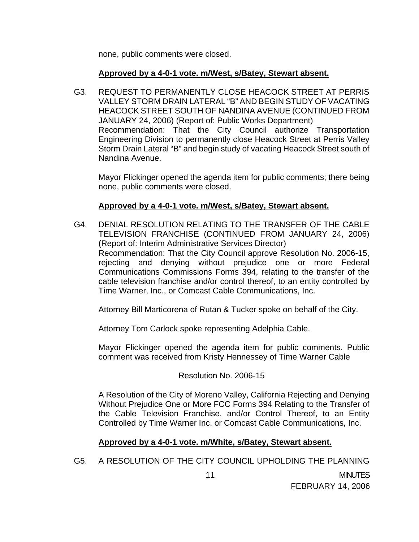none, public comments were closed.

## **Approved by a 4-0-1 vote. m/West, s/Batey, Stewart absent.**

G3. REQUEST TO PERMANENTLY CLOSE HEACOCK STREET AT PERRIS VALLEY STORM DRAIN LATERAL "B" AND BEGIN STUDY OF VACATING HEACOCK STREET SOUTH OF NANDINA AVENUE (CONTINUED FROM JANUARY 24, 2006) (Report of: Public Works Department) Recommendation: That the City Council authorize Transportation Engineering Division to permanently close Heacock Street at Perris Valley Storm Drain Lateral "B" and begin study of vacating Heacock Street south of Nandina Avenue.

 Mayor Flickinger opened the agenda item for public comments; there being none, public comments were closed.

## **Approved by a 4-0-1 vote. m/West, s/Batey, Stewart absent.**

G4. DENIAL RESOLUTION RELATING TO THE TRANSFER OF THE CABLE TELEVISION FRANCHISE (CONTINUED FROM JANUARY 24, 2006) (Report of: Interim Administrative Services Director) Recommendation: That the City Council approve Resolution No. 2006-15, rejecting and denying without prejudice one or more Federal Communications Commissions Forms 394, relating to the transfer of the cable television franchise and/or control thereof, to an entity controlled by Time Warner, Inc., or Comcast Cable Communications, Inc.

Attorney Bill Marticorena of Rutan & Tucker spoke on behalf of the City.

Attorney Tom Carlock spoke representing Adelphia Cable.

 Mayor Flickinger opened the agenda item for public comments. Public comment was received from Kristy Hennessey of Time Warner Cable

Resolution No. 2006-15

A Resolution of the City of Moreno Valley, California Rejecting and Denying Without Prejudice One or More FCC Forms 394 Relating to the Transfer of the Cable Television Franchise, and/or Control Thereof, to an Entity Controlled by Time Warner Inc. or Comcast Cable Communications, Inc.

## **Approved by a 4-0-1 vote. m/White, s/Batey, Stewart absent.**

G5. A RESOLUTION OF THE CITY COUNCIL UPHOLDING THE PLANNING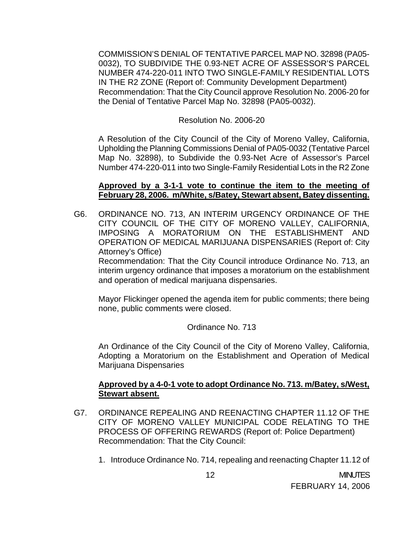COMMISSION'S DENIAL OF TENTATIVE PARCEL MAP NO. 32898 (PA05- 0032), TO SUBDIVIDE THE 0.93-NET ACRE OF ASSESSOR'S PARCEL NUMBER 474-220-011 INTO TWO SINGLE-FAMILY RESIDENTIAL LOTS IN THE R2 ZONE (Report of: Community Development Department) Recommendation: That the City Council approve Resolution No. 2006-20 for the Denial of Tentative Parcel Map No. 32898 (PA05-0032).

#### Resolution No. 2006-20

A Resolution of the City Council of the City of Moreno Valley, California, Upholding the Planning Commissions Denial of PA05-0032 (Tentative Parcel Map No. 32898), to Subdivide the 0.93-Net Acre of Assessor's Parcel Number 474-220-011 into two Single-Family Residential Lots in the R2 Zone

#### **Approved by a 3-1-1 vote to continue the item to the meeting of February 28, 2006. m/White, s/Batey, Stewart absent, Batey dissenting.**

G6. ORDINANCE NO. 713, AN INTERIM URGENCY ORDINANCE OF THE CITY COUNCIL OF THE CITY OF MORENO VALLEY, CALIFORNIA, IMPOSING A MORATORIUM ON THE ESTABLISHMENT AND OPERATION OF MEDICAL MARIJUANA DISPENSARIES (Report of: City Attorney's Office)

 Recommendation: That the City Council introduce Ordinance No. 713, an interim urgency ordinance that imposes a moratorium on the establishment and operation of medical marijuana dispensaries.

Mayor Flickinger opened the agenda item for public comments; there being none, public comments were closed.

Ordinance No. 713

 An Ordinance of the City Council of the City of Moreno Valley, California, Adopting a Moratorium on the Establishment and Operation of Medical Marijuana Dispensaries

#### **Approved by a 4-0-1 vote to adopt Ordinance No. 713. m/Batey, s/West, Stewart absent.**

- G7. ORDINANCE REPEALING AND REENACTING CHAPTER 11.12 OF THE CITY OF MORENO VALLEY MUNICIPAL CODE RELATING TO THE PROCESS OF OFFERING REWARDS (Report of: Police Department) Recommendation: That the City Council:
	- 1. Introduce Ordinance No. 714, repealing and reenacting Chapter 11.12 of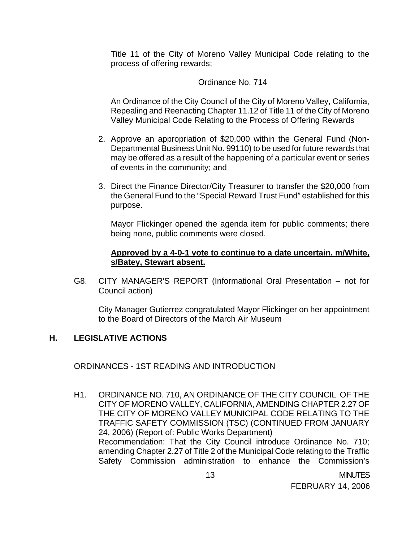Title 11 of the City of Moreno Valley Municipal Code relating to the process of offering rewards;

## Ordinance No. 714

 An Ordinance of the City Council of the City of Moreno Valley, California, Repealing and Reenacting Chapter 11.12 of Title 11 of the City of Moreno Valley Municipal Code Relating to the Process of Offering Rewards

- 2. Approve an appropriation of \$20,000 within the General Fund (Non-Departmental Business Unit No. 99110) to be used for future rewards that may be offered as a result of the happening of a particular event or series of events in the community; and
- 3. Direct the Finance Director/City Treasurer to transfer the \$20,000 from the General Fund to the "Special Reward Trust Fund" established for this purpose.

Mayor Flickinger opened the agenda item for public comments; there being none, public comments were closed.

#### **Approved by a 4-0-1 vote to continue to a date uncertain. m/White, s/Batey, Stewart absent.**

G8. CITY MANAGER'S REPORT (Informational Oral Presentation – not for Council action)

 City Manager Gutierrez congratulated Mayor Flickinger on her appointment to the Board of Directors of the March Air Museum

## **H. LEGISLATIVE ACTIONS**

ORDINANCES - 1ST READING AND INTRODUCTION

H1. ORDINANCE NO. 710, AN ORDINANCE OF THE CITY COUNCIL OF THE CITY OF MORENO VALLEY, CALIFORNIA, AMENDING CHAPTER 2.27 OF THE CITY OF MORENO VALLEY MUNICIPAL CODE RELATING TO THE TRAFFIC SAFETY COMMISSION (TSC) (CONTINUED FROM JANUARY 24, 2006) (Report of: Public Works Department) Recommendation: That the City Council introduce Ordinance No. 710; amending Chapter 2.27 of Title 2 of the Municipal Code relating to the Traffic Safety Commission administration to enhance the Commission's

13 MINUTES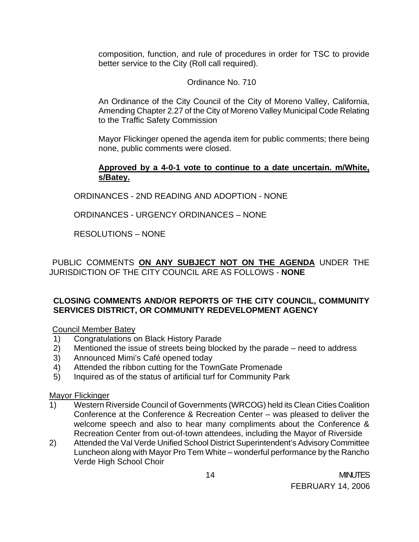composition, function, and rule of procedures in order for TSC to provide better service to the City (Roll call required).

## Ordinance No. 710

 An Ordinance of the City Council of the City of Moreno Valley, California, Amending Chapter 2.27 of the City of Moreno Valley Municipal Code Relating to the Traffic Safety Commission

 Mayor Flickinger opened the agenda item for public comments; there being none, public comments were closed.

## **Approved by a 4-0-1 vote to continue to a date uncertain. m/White, s/Batey.**

ORDINANCES - 2ND READING AND ADOPTION - NONE

ORDINANCES - URGENCY ORDINANCES – NONE

RESOLUTIONS – NONE

PUBLIC COMMENTS **ON ANY SUBJECT NOT ON THE AGENDA** UNDER THE JURISDICTION OF THE CITY COUNCIL ARE AS FOLLOWS - **NONE** 

## **CLOSING COMMENTS AND/OR REPORTS OF THE CITY COUNCIL, COMMUNITY SERVICES DISTRICT, OR COMMUNITY REDEVELOPMENT AGENCY**

Council Member Batey

- 1) Congratulations on Black History Parade
- 2) Mentioned the issue of streets being blocked by the parade need to address
- 3) Announced Mimi's Café opened today
- 4) Attended the ribbon cutting for the TownGate Promenade
- 5) Inquired as of the status of artificial turf for Community Park

#### Mayor Flickinger

- 1) Western Riverside Council of Governments (WRCOG) held its Clean Cities Coalition Conference at the Conference & Recreation Center – was pleased to deliver the welcome speech and also to hear many compliments about the Conference & Recreation Center from out-of-town attendees, including the Mayor of Riverside
- 2) Attended the Val Verde Unified School District Superintendent's Advisory Committee Luncheon along with Mayor Pro Tem White – wonderful performance by the Rancho Verde High School Choir